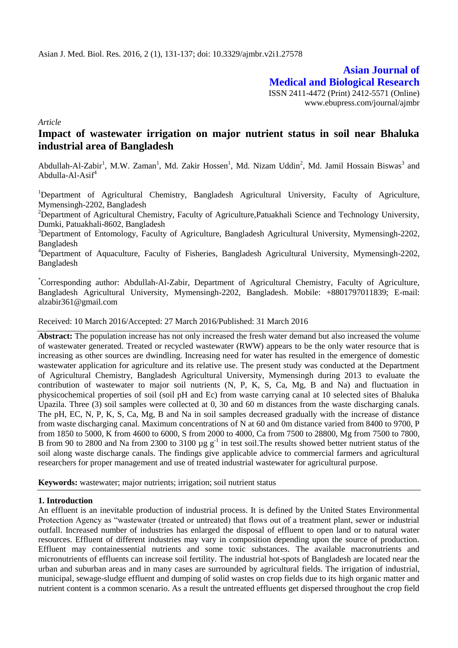**Asian Journal of Medical and Biological Research** ISSN 2411-4472 (Print) 2412-5571 (Online) www.ebupress.com/journal/ajmbr

*Article*

# **Impact of wastewater irrigation on major nutrient status in soil near Bhaluka industrial area of Bangladesh**

Abdullah-Al-Zabir<sup>1</sup>, M.W. Zaman<sup>1</sup>, Md. Zakir Hossen<sup>1</sup>, Md. Nizam Uddin<sup>2</sup>, Md. Jamil Hossain Biswas<sup>3</sup> and Abdulla-Al-Asi $f^4$ 

<sup>1</sup>Department of Agricultural Chemistry, Bangladesh Agricultural University, Faculty of Agriculture, Mymensingh-2202, Bangladesh

<sup>2</sup>Department of Agricultural Chemistry, Faculty of Agriculture, Patuakhali Science and Technology University, Dumki, Patuakhali-8602, Bangladesh

<sup>3</sup>Department of Entomology, Faculty of Agriculture, Bangladesh Agricultural University, Mymensingh-2202, Bangladesh

<sup>4</sup>Department of Aquaculture, Faculty of Fisheries, Bangladesh Agricultural University, Mymensingh-2202, Bangladesh

\*Corresponding author: Abdullah-Al-Zabir, Department of Agricultural Chemistry, Faculty of Agriculture, Bangladesh Agricultural University, Mymensingh-2202, Bangladesh. Mobile: +8801797011839; E-mail: alzabir361@gmail.com

Received: 10 March 2016/Accepted: 27 March 2016/Published: 31 March 2016

**Abstract:** The population increase has not only increased the fresh water demand but also increased the volume of wastewater generated. Treated or recycled wastewater (RWW) appears to be the only water resource that is increasing as other sources are dwindling. Increasing need for water has resulted in the emergence of domestic wastewater application for agriculture and its relative use. The present study was conducted at the Department of Agricultural Chemistry, Bangladesh Agricultural University, Mymensingh during 2013 to evaluate the contribution of wastewater to major soil nutrients (N, P, K, S, Ca, Mg, B and Na) and fluctuation in physicochemical properties of soil (soil pH and Ec) from waste carrying canal at 10 selected sites of Bhaluka Upazila. Three (3) soil samples were collected at 0, 30 and 60 m distances from the waste discharging canals. The pH, EC, N, P, K, S, Ca, Mg, B and Na in soil samples decreased gradually with the increase of distance from waste discharging canal. Maximum concentrations of N at 60 and 0m distance varied from 8400 to 9700, P from 1850 to 5000, K from 4600 to 6000, S from 2000 to 4000, Ca from 7500 to 28800, Mg from 7500 to 7800, B from 90 to 2800 and Na from 2300 to 3100  $\mu$ g g<sup>-1</sup> in test soil. The results showed better nutrient status of the soil along waste discharge canals. The findings give applicable advice to commercial farmers and agricultural researchers for proper management and use of treated industrial wastewater for agricultural purpose.

**Keywords:** wastewater; major nutrients; irrigation; soil nutrient status

## **1. Introduction**

An effluent is an inevitable production of industrial process. It is defined by the United States Environmental Protection Agency as "wastewater (treated or untreated) that flows out of a treatment plant, sewer or industrial outfall. Increased number of industries has enlarged the disposal of effluent to open land or to natural water resources. Effluent of different industries may vary in composition depending upon the source of production. Effluent may containessential nutrients and some toxic substances. The available macronutrients and micronutrients of effluents can increase soil fertility. The industrial hot-spots of Bangladesh are located near the urban and suburban areas and in many cases are surrounded by agricultural fields. The irrigation of industrial, municipal, sewage-sludge effluent and dumping of solid wastes on crop fields due to its high organic matter and nutrient content is a common scenario. As a result the untreated effluents get dispersed throughout the crop field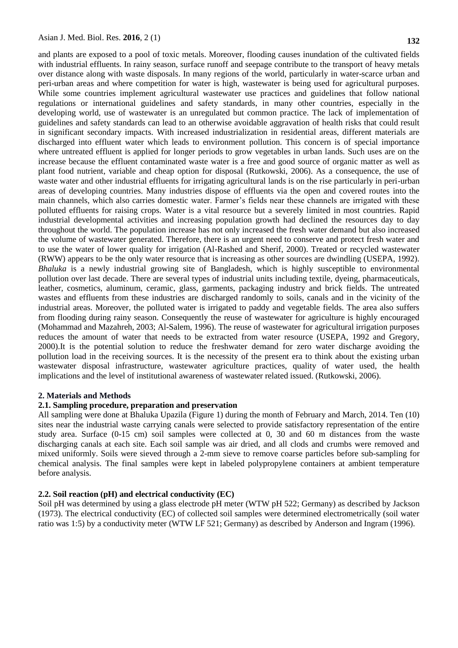and plants are exposed to a pool of toxic metals. Moreover, flooding causes inundation of the cultivated fields with industrial effluents. In rainy season, surface runoff and seepage contribute to the transport of heavy metals over distance along with waste disposals. In many regions of the world, particularly in water-scarce urban and peri-urban areas and where competition for water is high, wastewater is being used for agricultural purposes. While some countries implement agricultural wastewater use practices and guidelines that follow national regulations or international guidelines and safety standards, in many other countries, especially in the developing world, use of wastewater is an unregulated but common practice. The lack of implementation of guidelines and safety standards can lead to an otherwise avoidable aggravation of health risks that could result in significant secondary impacts. With increased industrialization in residential areas, different materials are discharged into effluent water which leads to environment pollution. This concern is of special importance where untreated effluent is applied for longer periods to grow vegetables in urban lands. Such uses are on the increase because the effluent contaminated waste water is a free and good source of organic matter as well as plant food nutrient, variable and cheap option for disposal (Rutkowski, 2006). As a consequence, the use of waste water and other industrial effluents for irrigating agricultural lands is on the rise particularly in peri-urban areas of developing countries. Many industries dispose of effluents via the open and covered routes into the main channels, which also carries domestic water. Farmer's fields near these channels are irrigated with these polluted effluents for raising crops. Water is a vital resource but a severely limited in most countries. Rapid industrial developmental activities and increasing population growth had declined the resources day to day throughout the world. The population increase has not only increased the fresh water demand but also increased the volume of wastewater generated. Therefore, there is an urgent need to conserve and protect fresh water and to use the water of lower quality for irrigation (Al-Rashed and Sherif, 2000). Treated or recycled wastewater (RWW) appears to be the only water resource that is increasing as other sources are dwindling (USEPA, 1992). *Bhaluka* is a newly industrial growing site of Bangladesh, which is highly susceptible to environmental pollution over last decade. There are several types of industrial units including textile, dyeing, pharmaceuticals, leather, cosmetics, aluminum, ceramic, glass, garments, packaging industry and brick fields. The untreated wastes and effluents from these industries are discharged randomly to soils, canals and in the vicinity of the industrial areas. Moreover, the polluted water is irrigated to paddy and vegetable fields. The area also suffers from flooding during rainy season. Consequently the reuse of wastewater for agriculture is highly encouraged (Mohammad and Mazahreh, 2003; Al-Salem, 1996). The reuse of wastewater for agricultural irrigation purposes reduces the amount of water that needs to be extracted from water resource (USEPA, 1992 and Gregory, 2000).It is the potential solution to reduce the freshwater demand for zero water discharge avoiding the pollution load in the receiving sources. It is the necessity of the present era to think about the existing urban wastewater disposal infrastructure, wastewater agriculture practices, quality of water used, the health implications and the level of institutional awareness of wastewater related issued. (Rutkowski, 2006).

#### **2. Materials and Methods**

## **2.1. Sampling procedure, preparation and preservation**

All sampling were done at Bhaluka Upazila (Figure 1) during the month of February and March, 2014. Ten (10) sites near the industrial waste carrying canals were selected to provide satisfactory representation of the entire study area. Surface (0-15 cm) soil samples were collected at 0, 30 and 60 m distances from the waste discharging canals at each site. Each soil sample was air dried, and all clods and crumbs were removed and mixed uniformly. Soils were sieved through a 2-mm sieve to remove coarse particles before sub-sampling for chemical analysis. The final samples were kept in labeled polypropylene containers at ambient temperature before analysis.

# **2.2. Soil reaction (pH) and electrical conductivity (EC)**

Soil pH was determined by using a glass electrode pH meter (WTW pH 522; Germany) as described by Jackson (1973). The electrical conductivity (EC) of collected soil samples were determined electrometrically (soil water ratio was 1:5) by a conductivity meter (WTW LF 521; Germany) as described by Anderson and Ingram (1996).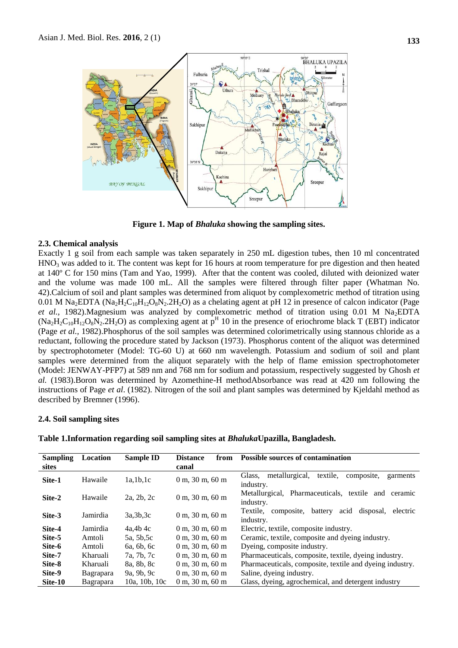

**Figure 1. Map of** *Bhaluka* **showing the sampling sites.**

#### **2.3. Chemical analysis**

Exactly 1 g soil from each sample was taken separately in 250 mL digestion tubes, then 10 ml concentrated  $HNO<sub>3</sub>$  was added to it. The content was kept for 16 hours at room temperature for pre digestion and then heated at 140º C for 150 mins (Tam and Yao, 1999). After that the content was cooled, diluted with deionized water and the volume was made 100 mL. All the samples were filtered through filter paper (Whatman No. 42).Calcium of soil and plant samples was determined from aliquot by complexometric method of titration using 0.01 M Na<sub>2</sub>EDTA (Na<sub>2</sub>H<sub>2</sub>C<sub>10</sub>H<sub>12</sub>O<sub>8</sub>N<sub>2</sub>.2H<sub>2</sub>O) as a chelating agent at pH 12 in presence of calcon indicator (Page *et al.,* 1982). Magnesium was analyzed by complexometric method of titration using 0.01 M Na<sub>2</sub>EDTA  $(Na_2H_2C_{10}H_{12}O_8N_2.2H_2O)$  as complexing agent at  $p^H$  10 in the presence of eriochrome black T (EBT) indicator (Page *et al.,* 1982).Phosphorus of the soil samples was determined colorimetrically using stannous chloride as a reductant, following the procedure stated by Jackson (1973). Phosphorus content of the aliquot was determined by spectrophotometer (Model: TG-60 U) at 660 nm wavelength. Potassium and sodium of soil and plant samples were determined from the aliquot separately with the help of flame emission spectrophotometer (Model: JENWAY-PFP7) at 589 nm and 768 nm for sodium and potassium, respectively suggested by Ghosh *et al.* (1983).Boron was determined by Azomethine-H methodAbsorbance was read at 420 nm following the instructions of Page *et al*. (1982). Nitrogen of the soil and plant samples was determined by Kjeldahl method as described by Bremner (1996).

#### **2.4. Soil sampling sites**

| <b>Sampling</b> | Location         | <b>Sample ID</b> | <b>Distance</b><br>from    | <b>Possible sources of contamination</b>                                        |
|-----------------|------------------|------------------|----------------------------|---------------------------------------------------------------------------------|
| sites           |                  |                  | canal                      |                                                                                 |
| Site-1          | Hawaile          | 1a,1b,1c         | $0 \text{ m}$ , 30 m, 60 m | metallurgical,<br>textile,<br>Glass,<br>composite.<br>garments<br>industry.     |
| Site-2          | Hawaile          | 2a, 2b, 2c       | $0 \text{ m}$ , 30 m, 60 m | Metallurgical, Pharmaceuticals, textile<br>and<br>ceramic<br>industry.          |
| Site-3          | Jamirdia         | 3a,3b,3c         | $0 \text{ m}$ , 30 m, 60 m | disposal,<br>Textile.<br>composite,<br>acid<br>battery<br>electric<br>industry. |
| Site-4          | Jamirdia         | 4a.4b.4c         | $0 \text{ m}$ , 30 m, 60 m | Electric, textile, composite industry.                                          |
| Site-5          | Amtoli           | 5a, 5b, 5c       | $0 \text{ m}$ , 30 m, 60 m | Ceramic, textile, composite and dyeing industry.                                |
| Site-6          | Amtoli           | 6a, 6b, 6c       | $0 \text{ m}$ , 30 m, 60 m | Dyeing, composite industry.                                                     |
| Site-7          | Kharuali         | 7a, 7b, 7c       | $0 \text{ m}$ , 30 m, 60 m | Pharmaceuticals, composite, textile, dyeing industry.                           |
| Site-8          | Kharuali         | 8a, 8b, 8c       | $0 \text{ m}$ , 30 m, 60 m | Pharmaceuticals, composite, textile and dyeing industry.                        |
| Site-9          | <b>Bagrapara</b> | 9a, 9b, 9c       | $0 \text{ m}$ , 30 m, 60 m | Saline, dyeing industry.                                                        |
| Site-10         | Bagrapara        | 10a, 10b, 10c    | $0 \text{ m}$ , 30 m, 60 m | Glass, dyeing, agrochemical, and detergent industry                             |

**Table 1.Information regarding soil sampling sites at** *Bhaluka***Upazilla, Bangladesh.**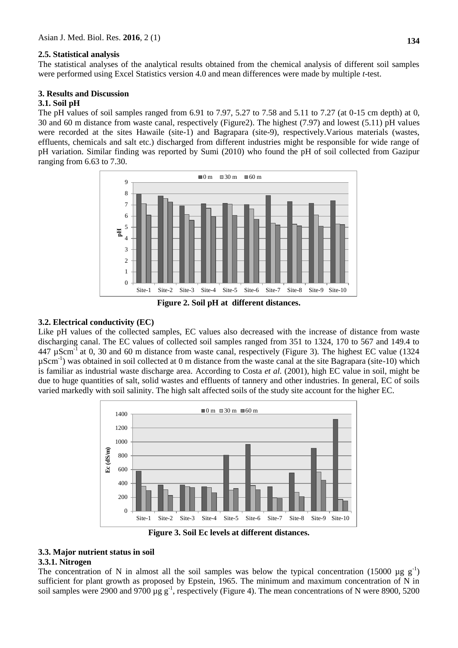#### **2.5. Statistical analysis**

The statistical analyses of the analytical results obtained from the chemical analysis of different soil samples were performed using Excel Statistics version 4.0 and mean differences were made by multiple *t*-test.

## **3. Results and Discussion**

## **3.1. Soil pH**

The pH values of soil samples ranged from 6.91 to 7.97, 5.27 to 7.58 and 5.11 to 7.27 (at 0-15 cm depth) at 0, 30 and 60 m distance from waste canal, respectively (Figure2). The highest (7.97) and lowest (5.11) pH values were recorded at the sites Hawaile (site-1) and Bagrapara (site-9), respectively. Various materials (wastes, effluents, chemicals and salt etc.) discharged from different industries might be responsible for wide range of pH variation. Similar finding was reported by Sumi (2010) who found the pH of soil collected from Gazipur ranging from 6.63 to 7.30.



#### **3.2. Electrical conductivity (EC)**

Like pH values of the collected samples, EC values also decreased with the increase of distance from waste discharging canal. The EC values of collected soil samples ranged from 351 to 1324, 170 to 567 and 149.4 to 447  $\mu$ Scm<sup>-1</sup> at 0, 30 and 60 m distance from waste canal, respectively (Figure 3). The highest EC value (1324 µScm-1 ) was obtained in soil collected at 0 m distance from the waste canal at the site Bagrapara (site-10) which is familiar as industrial waste discharge area. According to Costa *et al.* (2001), high EC value in soil, might be due to huge quantities of salt, solid wastes and effluents of tannery and other industries. In general, EC of soils varied markedly with soil salinity. The high salt affected soils of the study site account for the higher EC.



**Figure 3. Soil Ec levels at different distances.**

# **3.3. Major nutrient status in soil**

## **3.3.1. Nitrogen**

The concentration of N in almost all the soil samples was below the typical concentration (15000 µg  $g^{-1}$ ) sufficient for plant growth as proposed by Epstein, 1965. The minimum and maximum concentration of N in soil samples were 2900 and 9700  $\mu$ g g<sup>-1</sup>, respectively (Figure 4). The mean concentrations of N were 8900, 5200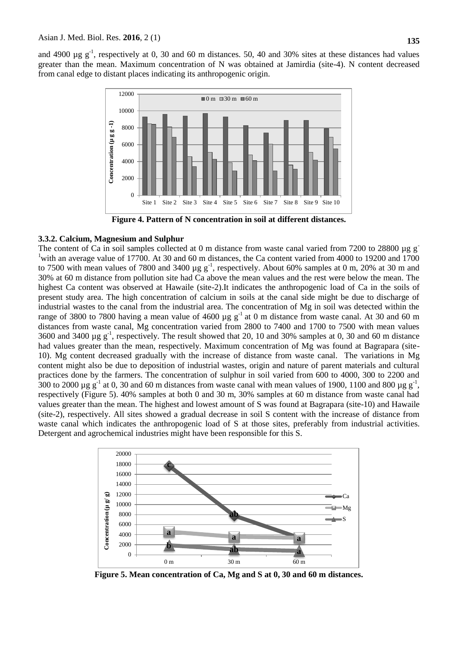and 4900  $\mu$ g g<sup>-1</sup>, respectively at 0, 30 and 60 m distances. 50, 40 and 30% sites at these distances had values greater than the mean. Maximum concentration of N was obtained at Jamirdia (site-4). N content decreased from canal edge to distant places indicating its anthropogenic origin.



**Figure 4. Pattern of N concentration in soil at different distances.**

## **3.3.2. Calcium, Magnesium and Sulphur**

The content of Ca in soil samples collected at 0 m distance from waste canal varied from 7200 to 28800 µg g<sup>-</sup> <sup>1</sup> with an average value of 17700. At 30 and 60 m distances, the Ca content varied from 4000 to 19200 and 1700 to 7500 with mean values of 7800 and 3400  $\mu$ g g<sup>-1</sup>, respectively. About 60% samples at 0 m, 20% at 30 m and 30% at 60 m distance from pollution site had Ca above the mean values and the rest were below the mean. The highest Ca content was observed at Hawaile (site-2).It indicates the anthropogenic load of Ca in the soils of present study area. The high concentration of calcium in soils at the canal side might be due to discharge of industrial wastes to the canal from the industrial area. The concentration of Mg in soil was detected within the range of 3800 to 7800 having a mean value of 4600  $\mu$ g g<sup>-1</sup> at 0 m distance from waste canal. At 30 and 60 m distances from waste canal, Mg concentration varied from 2800 to 7400 and 1700 to 7500 with mean values 3600 and 3400  $\mu$ g g<sup>-1</sup>, respectively. The result showed that 20, 10 and 30% samples at 0, 30 and 60 m distance had values greater than the mean, respectively. Maximum concentration of Mg was found at Bagrapara (site-10). Mg content decreased gradually with the increase of distance from waste canal. The variations in Mg content might also be due to deposition of industrial wastes, origin and nature of parent materials and cultural practices done by the farmers. The concentration of sulphur in soil varied from 600 to 4000, 300 to 2200 and 300 to 2000  $\mu$ g g<sup>-1</sup> at 0, 30 and 60 m distances from waste canal with mean values of 1900, 1100 and 800  $\mu$ g g<sup>-1</sup>, respectively (Figure 5). 40% samples at both 0 and 30 m, 30% samples at 60 m distance from waste canal had values greater than the mean. The highest and lowest amount of S was found at Bagrapara (site-10) and Hawaile (site-2), respectively. All sites showed a gradual decrease in soil S content with the increase of distance from waste canal which indicates the anthropogenic load of S at those sites, preferably from industrial activities. Detergent and agrochemical industries might have been responsible for this S.



**Figure 5. Mean concentration of Ca, Mg and S at 0, 30 and 60 m distances.**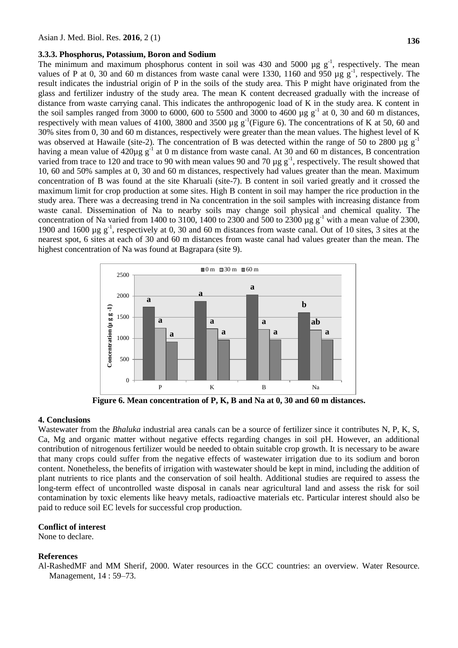#### **3.3.3. Phosphorus, Potassium, Boron and Sodium**

The minimum and maximum phosphorus content in soil was 430 and 5000  $\mu$ g g<sup>-1</sup>, respectively. The mean values of P at 0, 30 and 60 m distances from waste canal were 1330, 1160 and 950  $\mu$ g g<sup>-1</sup>, respectively. The result indicates the industrial origin of P in the soils of the study area. This P might have originated from the glass and fertilizer industry of the study area. The mean K content decreased gradually with the increase of distance from waste carrying canal. This indicates the anthropogenic load of K in the study area. K content in the soil samples ranged from 3000 to 6000, 600 to 5500 and 3000 to 4600  $\mu$ g g<sup>-1</sup> at 0, 30 and 60 m distances, respectively with mean values of 4100, 3800 and 3500  $\mu$ g g<sup>-1</sup>(Figure 6). The concentrations of K at 50, 60 and 30% sites from 0, 30 and 60 m distances, respectively were greater than the mean values. The highest level of K was observed at Hawaile (site-2). The concentration of B was detected within the range of 50 to 2800  $\mu$ g g<sup>-1</sup> having a mean value of  $420\mu g g^{-1}$  at 0 m distance from waste canal. At 30 and 60 m distances, B concentration varied from trace to 120 and trace to 90 with mean values 90 and 70  $\mu$ g g<sup>-1</sup>, respectively. The result showed that 10, 60 and 50% samples at 0, 30 and 60 m distances, respectively had values greater than the mean. Maximum concentration of B was found at the site Kharuali (site-7). B content in soil varied greatly and it crossed the maximum limit for crop production at some sites. High B content in soil may hamper the rice production in the study area. There was a decreasing trend in Na concentration in the soil samples with increasing distance from waste canal. Dissemination of Na to nearby soils may change soil physical and chemical quality. The concentration of Na varied from 1400 to 3100, 1400 to 2300 and 500 to 2300  $\mu$ g g<sup>-1</sup> with a mean value of 2300, 1900 and 1600  $\mu$ g g<sup>-1</sup>, respectively at 0, 30 and 60 m distances from waste canal. Out of 10 sites, 3 sites at the nearest spot, 6 sites at each of 30 and 60 m distances from waste canal had values greater than the mean. The highest concentration of Na was found at Bagrapara (site 9).



**Figure 6. Mean concentration of P, K, B and Na at 0, 30 and 60 m distances.**

#### **4. Conclusions**

Wastewater from the *Bhaluka* industrial area canals can be a source of fertilizer since it contributes N, P, K, S, Ca, Mg and organic matter without negative effects regarding changes in soil pH. However, an additional contribution of nitrogenous fertilizer would be needed to obtain suitable crop growth. It is necessary to be aware that many crops could suffer from the negative effects of wastewater irrigation due to its sodium and boron content. Nonetheless, the benefits of irrigation with wastewater should be kept in mind, including the addition of plant nutrients to rice plants and the conservation of soil health. Additional studies are required to assess the long-term effect of uncontrolled waste disposal in canals near agricultural land and assess the risk for soil contamination by toxic elements like heavy metals, radioactive materials etc. Particular interest should also be paid to reduce soil EC levels for successful crop production.

## **Conflict of interest**

None to declare.

#### **References**

Al-RashedMF and MM Sherif, 2000. Water resources in the GCC countries: an overview. Water Resource. Management, 14 : 59–73.